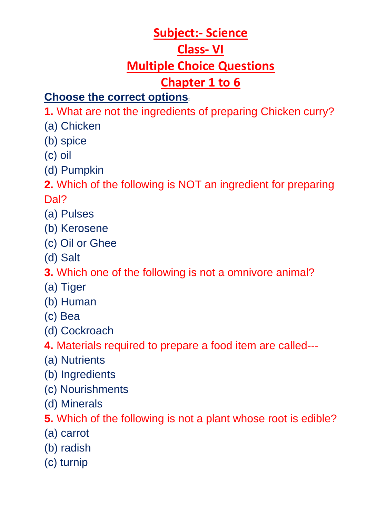## **Subject:- Science Class- VI**

# **Multiple Choice Questions**

# **Chapter 1 to 6**

## **Choose the correct options:**

**1.** What are not the ingredients of preparing Chicken curry?

- (a) Chicken
- (b) spice
- (c) oil
- (d) Pumpkin

**2.** Which of the following is NOT an ingredient for preparing Dal?

- (a) Pulses
- (b) Kerosene
- (c) Oil or Ghee
- (d) Salt

**3.** Which one of the following is not a omnivore animal?

- (a) Tiger
- (b) Human
- (c) Bea
- (d) Cockroach
- **4.** Materials required to prepare a food item are called---
- (a) Nutrients
- (b) Ingredients
- (c) Nourishments
- (d) Minerals

**5.** Which of the following is not a plant whose root is edible?

- (a) carrot
- (b) radish
- (c) turnip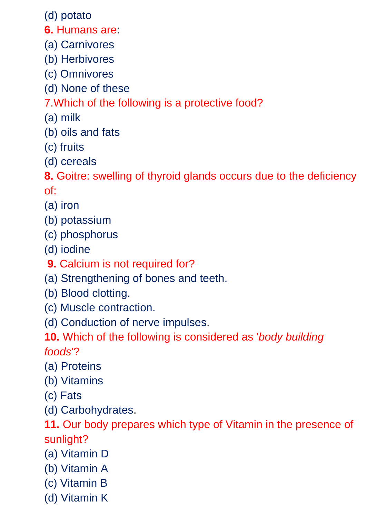(d) potato

- **6.** Humans are:
- (a) Carnivores
- (b) Herbivores
- (c) Omnivores
- (d) None of these

### 7.Which of the following is a protective food?

- (a) milk
- (b) oils and fats
- (c) fruits
- (d) cereals

**8.** Goitre: swelling of thyroid glands occurs due to the deficiency of:

- (a) iron
- (b) potassium
- (c) phosphorus
- (d) iodine
- **9.** Calcium is not required for?
- (a) Strengthening of bones and teeth.
- (b) Blood clotting.
- (c) Muscle contraction.
- (d) Conduction of nerve impulses.
- **10.** Which of the following is considered as '*body building foods*'?
- (a) Proteins
- (b) Vitamins
- (c) Fats
- (d) Carbohydrates.

**11.** Our body prepares which type of Vitamin in the presence of sunlight?

- (a) Vitamin D
- (b) Vitamin A
- (c) Vitamin B
- (d) Vitamin K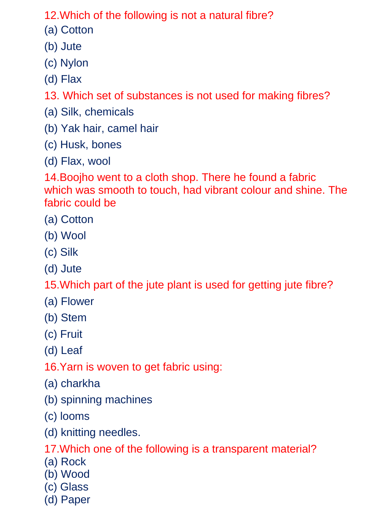12.Which of the following is not a natural fibre?

- (a) Cotton
- (b) Jute
- (c) Nylon
- (d) Flax

13. Which set of substances is not used for making fibres?

- (a) Silk, chemicals
- (b) Yak hair, camel hair
- (c) Husk, bones
- (d) Flax, wool

14.Boojho went to a cloth shop. There he found a fabric which was smooth to touch, had vibrant colour and shine. The fabric could be

- (a) Cotton
- (b) Wool
- (c) Silk
- (d) Jute

15.Which part of the jute plant is used for getting jute fibre?

- (a) Flower
- (b) Stem
- (c) Fruit
- (d) Leaf
- 16.Yarn is woven to get fabric using:
- (a) charkha
- (b) spinning machines
- (c) looms
- (d) knitting needles.

17.Which one of the following is a transparent material?

- (a) Rock
- (b) Wood
- (c) Glass
- (d) Paper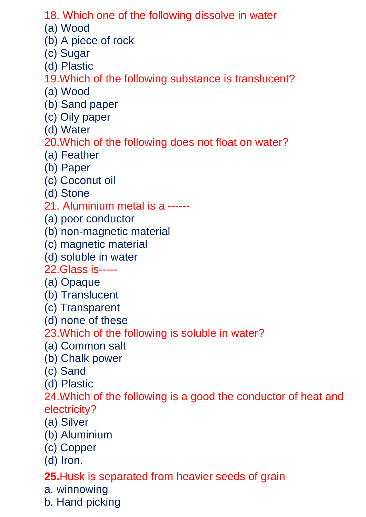- 18. Which one of the following dissolve in water
- (a) Wood
- (b) A piece of rock
- (c) Sugar
- (d) Plastic
- 19.Which of the following substance is translucent?
- (a) Wood
- (b) Sand paper
- (c) Oily paper
- (d) Water
- 20.Which of the following does not float on water?
- (a) Feather
- (b) Paper
- (c) Coconut oil
- (d) Stone
- 21. Aluminium metal is a ------
- (a) poor conductor
- (b) non-magnetic material
- (c) magnetic material
- (d) soluble in water
- 22.Glass is-----
- (a) Opaque
- (b) Translucent
- (c) Transparent
- (d) none of these
- 23.Which of the following is soluble in water?
- (a) Common salt
- (b) Chalk power
- (c) Sand
- (d) Plastic

24.Which of the following is a good the conductor of heat and electricity?

- (a) Silver
- (b) Aluminium
- (c) Copper
- (d) Iron.

#### **25.**Husk is separated from heavier seeds of grain

- a. winnowing
- b. Hand picking